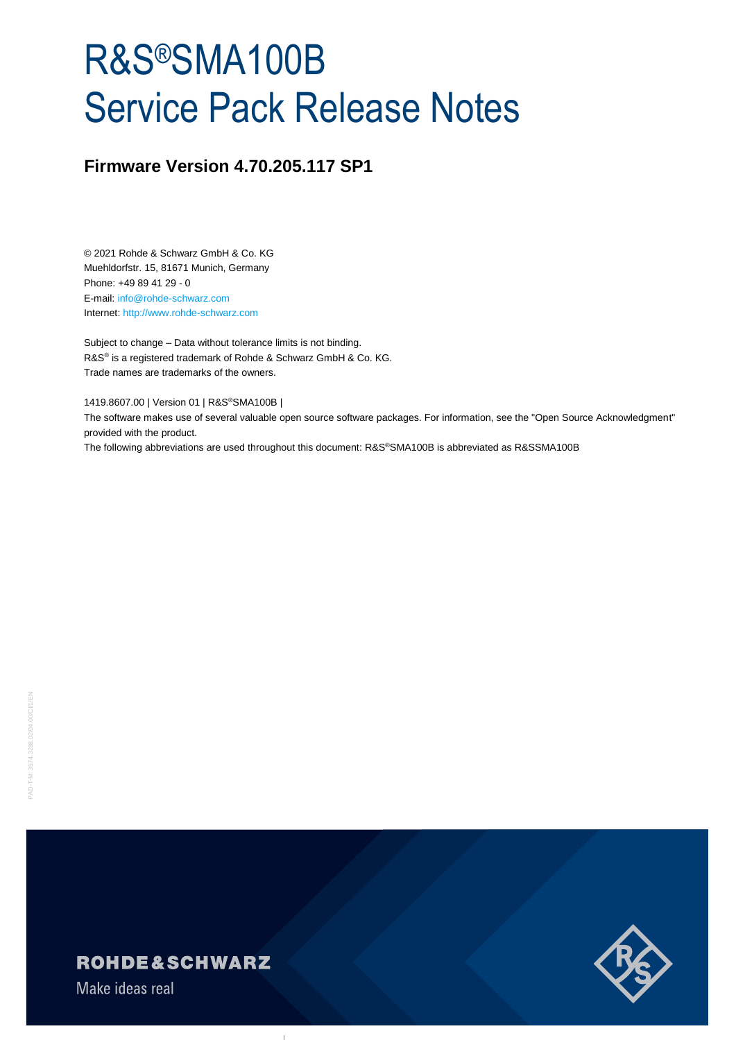# R&S®SMA100B Service Pack Release Notes

# **Firmware Version 4.70.205.117 SP1**

© 2021 Rohde & Schwarz GmbH & Co. KG Muehldorfstr. 15, 81671 Munich, Germany Phone: +49 89 41 29 - 0 E-mail: [info@rohde-schwarz.com](mailto:info@rohde-schwarz.com) Internet[: http://www.rohde-schwarz.com](http://www.rohde-schwarz.com/)

Subject to change – Data without tolerance limits is not binding. R&S<sup>®</sup> is a registered trademark of Rohde & Schwarz GmbH & Co. KG. Trade names are trademarks of the owners.

1419.8607.00 | Version 01 | R&S®SMA100B |

The software makes use of several valuable open source software packages. For information, see the "Open Source Acknowledgment" provided with the product.

The following abbreviations are used throughout this document: R&S®SMA100B is abbreviated as R&SSMA100B



Make ideas real

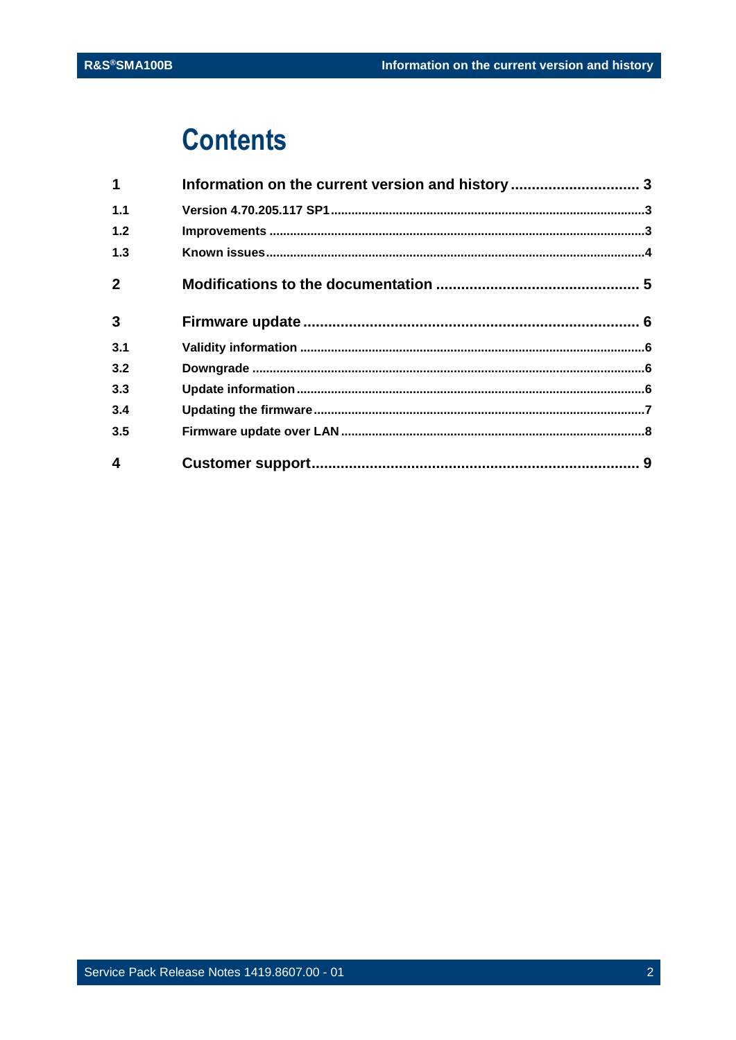# **Contents**

| $\mathbf 1$    | Information on the current version and history  3 |  |
|----------------|---------------------------------------------------|--|
| 1.1            |                                                   |  |
| 1.2            |                                                   |  |
| 1.3            |                                                   |  |
| $\overline{2}$ |                                                   |  |
| $\mathbf{3}$   |                                                   |  |
| 3.1            |                                                   |  |
| 3.2            |                                                   |  |
| 3.3            |                                                   |  |
| 3.4            |                                                   |  |
| 3.5            |                                                   |  |
| 4              |                                                   |  |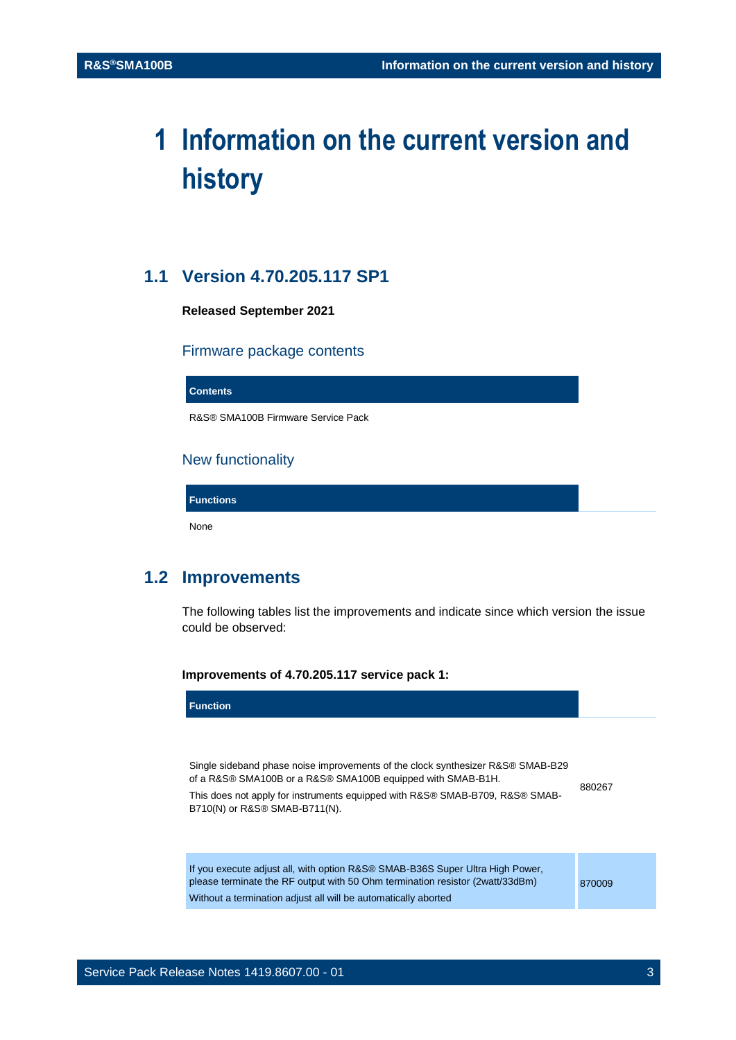# <span id="page-2-0"></span>**1 Information on the current version and history**

### <span id="page-2-1"></span>**1.1 Version 4.70.205.117 SP1**

**Released September 2021** 

#### Firmware package contents

**Contents**

R&S® SMA100B Firmware Service Pack

#### New functionality

**Functions**

<span id="page-2-2"></span>None

## **1.2 Improvements**

The following tables list the improvements and indicate since which version the issue could be observed:

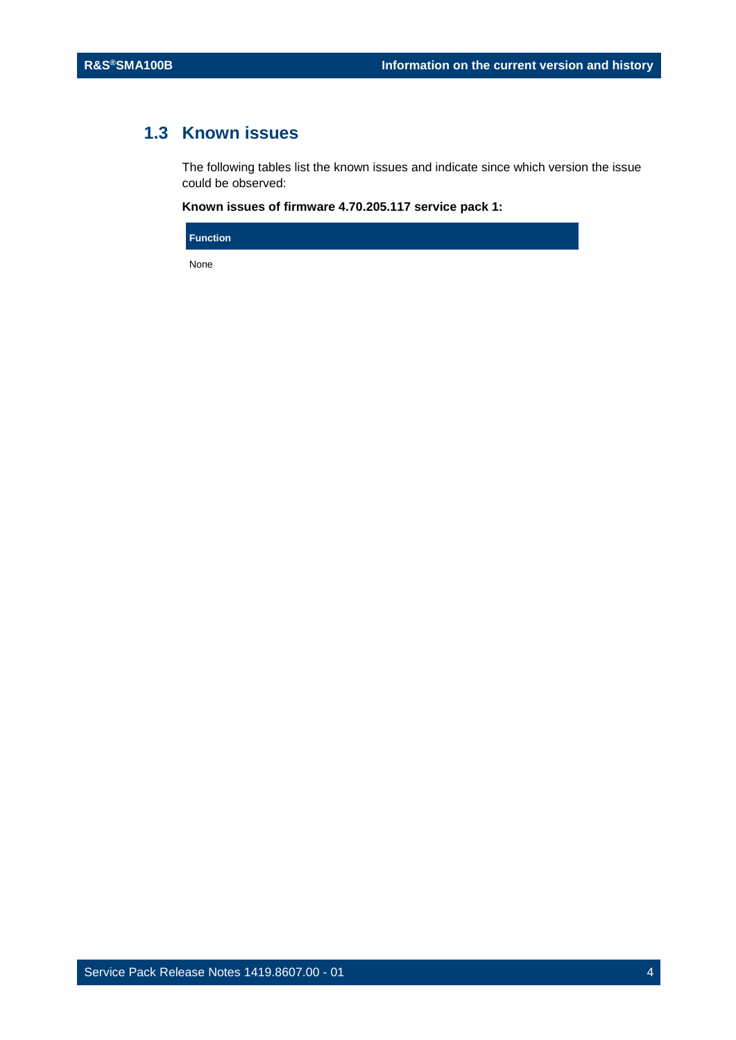# <span id="page-3-0"></span>**1.3 Known issues**

The following tables list the known issues and indicate since which version the issue could be observed:

#### **Known issues of firmware 4.70.205.117 service pack 1:**

**Function**

None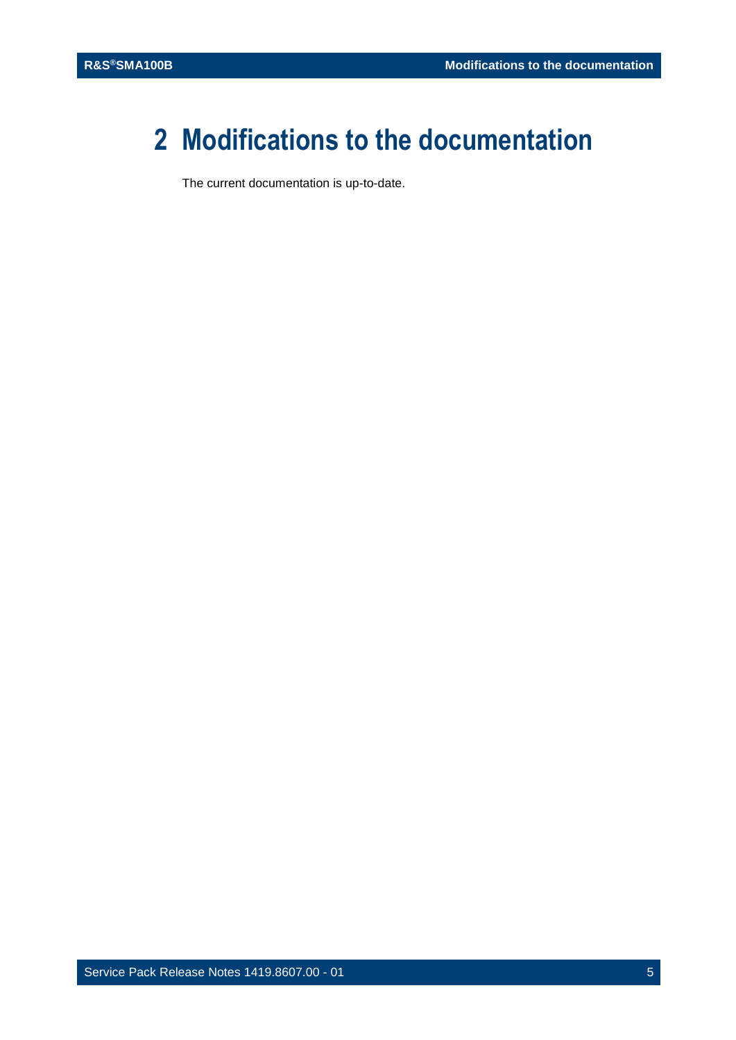# <span id="page-4-0"></span>**2 Modifications to the documentation**

The current documentation is up-to-date.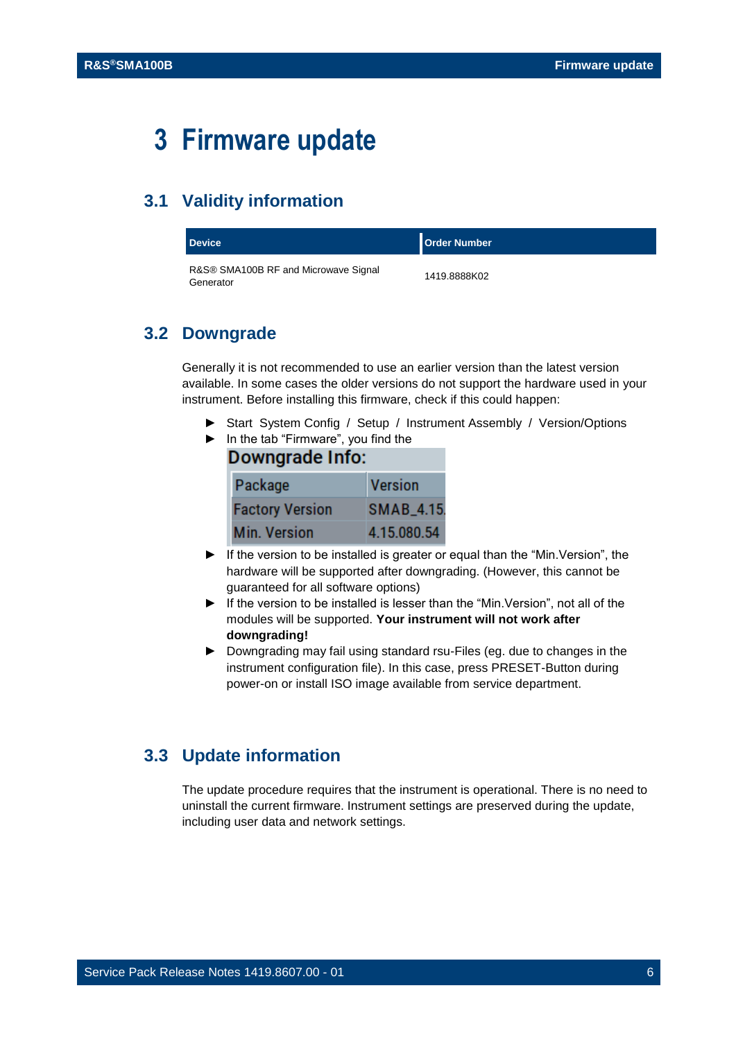# <span id="page-5-0"></span>**3 Firmware update**

### <span id="page-5-1"></span>**3.1 Validity information**

| <b>Device</b>                                     | <b>Order Number</b> |
|---------------------------------------------------|---------------------|
| R&S® SMA100B RF and Microwave Signal<br>Generator | 1419.8888K02        |

#### <span id="page-5-2"></span>**3.2 Downgrade**

Generally it is not recommended to use an earlier version than the latest version available. In some cases the older versions do not support the hardware used in your instrument. Before installing this firmware, check if this could happen:

- ► Start System Config / Setup / Instrument Assembly / Version/Options
- ► In the tab "Firmware", you find the

| Downgrade Info: |                        |                |  |  |
|-----------------|------------------------|----------------|--|--|
|                 | Package                | <b>Version</b> |  |  |
|                 | <b>Factory Version</b> | SMAB_4.15.     |  |  |
|                 | <b>Min. Version</b>    | 4.15.080.54    |  |  |

- ► If the version to be installed is greater or equal than the "Min.Version", the hardware will be supported after downgrading. (However, this cannot be guaranteed for all software options)
- ► If the version to be installed is lesser than the "Min.Version", not all of the modules will be supported. **Your instrument will not work after downgrading!**
- ► Downgrading may fail using standard rsu-Files (eg. due to changes in the instrument configuration file). In this case, press PRESET-Button during power-on or install ISO image available from service department.

### <span id="page-5-3"></span>**3.3 Update information**

The update procedure requires that the instrument is operational. There is no need to uninstall the current firmware. Instrument settings are preserved during the update, including user data and network settings.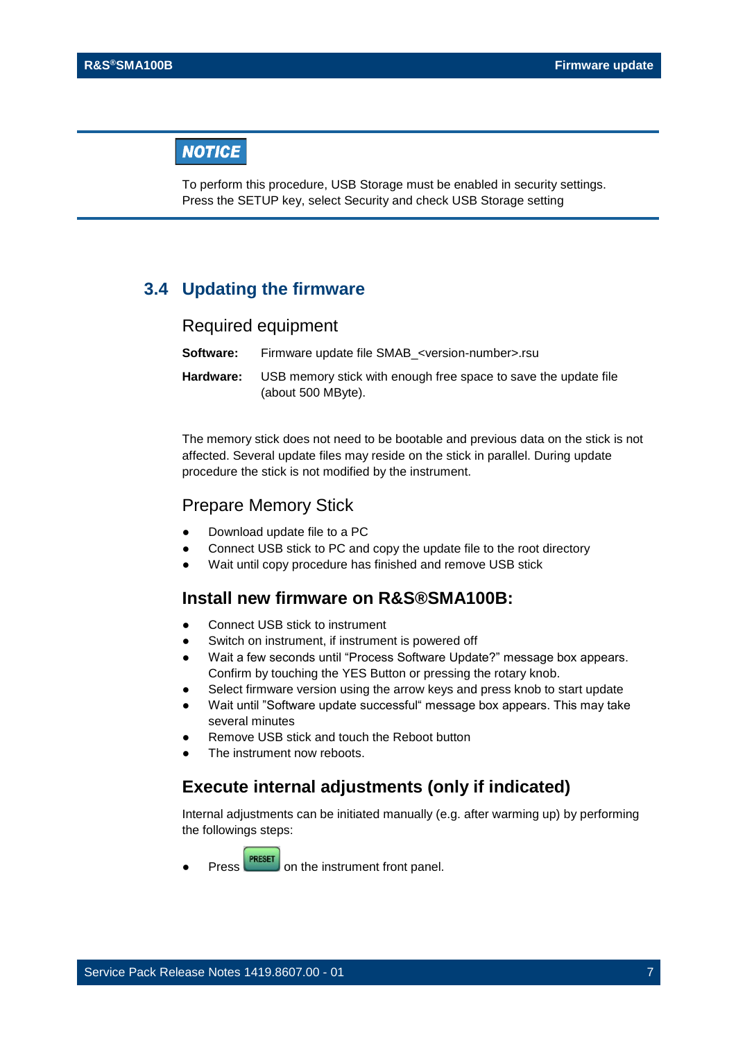### **NOTICE**

To perform this procedure, USB Storage must be enabled in security settings. Press the SETUP key, select Security and check USB Storage setting

#### <span id="page-6-0"></span>**3.4 Updating the firmware**

#### Required equipment

| Software: | Firmware update file SMAB <version-number>.rsu</version-number>                       |
|-----------|---------------------------------------------------------------------------------------|
| Hardware: | USB memory stick with enough free space to save the update file<br>(about 500 MByte). |

The memory stick does not need to be bootable and previous data on the stick is not affected. Several update files may reside on the stick in parallel. During update procedure the stick is not modified by the instrument.

#### Prepare Memory Stick

- Download update file to a PC
- Connect USB stick to PC and copy the update file to the root directory
- Wait until copy procedure has finished and remove USB stick

### **Install new firmware on R&S®SMA100B:**

- Connect USB stick to instrument
- Switch on instrument, if instrument is powered off
- Wait a few seconds until "Process Software Update?" message box appears. Confirm by touching the YES Button or pressing the rotary knob.
- Select firmware version using the arrow keys and press knob to start update
- Wait until "Software update successful" message box appears. This may take several minutes
- Remove USB stick and touch the Reboot button
- The instrument now reboots.

#### **Execute internal adjustments (only if indicated)**

Internal adjustments can be initiated manually (e.g. after warming up) by performing the followings steps:

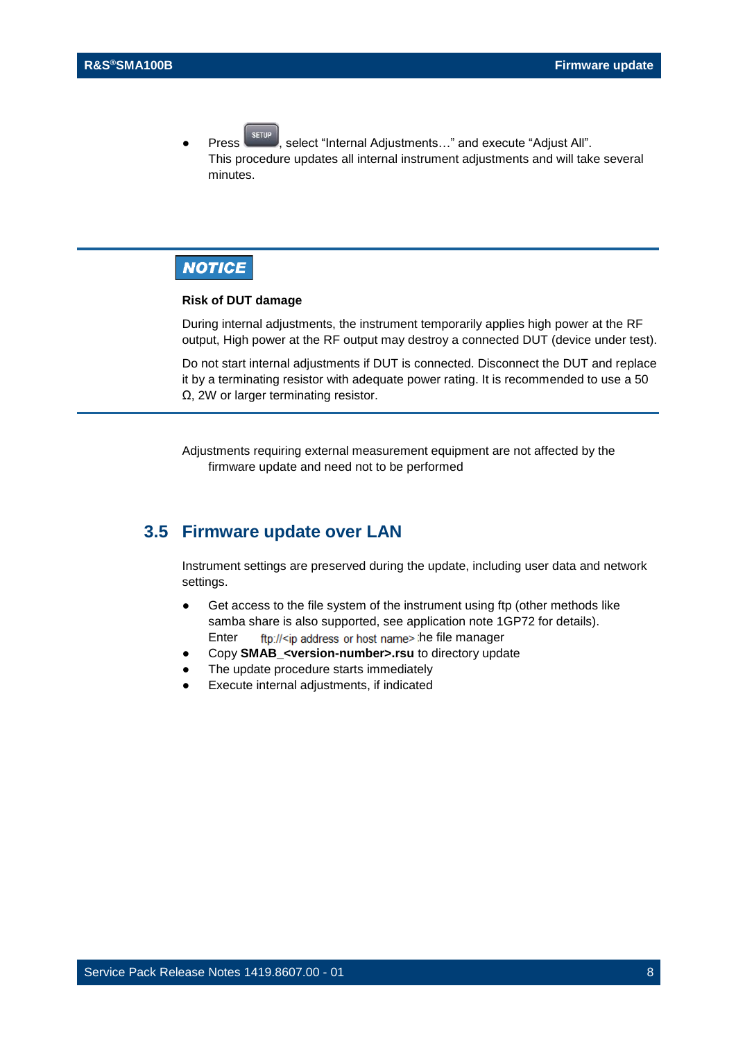**Press**  $\left\lceil \frac{\text{server}}{\text{select}} \right\rceil$  select "Internal Adjustments..." and execute "Adjust All". This procedure updates all internal instrument adjustments and will take several minutes.

## **NOTICE**

#### **Risk of DUT damage**

During internal adjustments, the instrument temporarily applies high power at the RF output, High power at the RF output may destroy a connected DUT (device under test).

Do not start internal adjustments if DUT is connected. Disconnect the DUT and replace it by a terminating resistor with adequate power rating. It is recommended to use a 50 Ω, 2W or larger terminating resistor.

Adjustments requiring external measurement equipment are not affected by the firmware update and need not to be performed

#### <span id="page-7-0"></span>**3.5 Firmware update over LAN**

Instrument settings are preserved during the update, including user data and network settings.

- Get access to the file system of the instrument using ftp (other methods like samba share is also supported, see application note 1GP72 for details). Enter  $\frac{f(p)/|\langle p|}{p}$  address or host name  $\ge$  the file manager
- Copy **SMAB\_<version-number>.rsu** to directory update
- The update procedure starts immediately
- Execute internal adjustments, if indicated